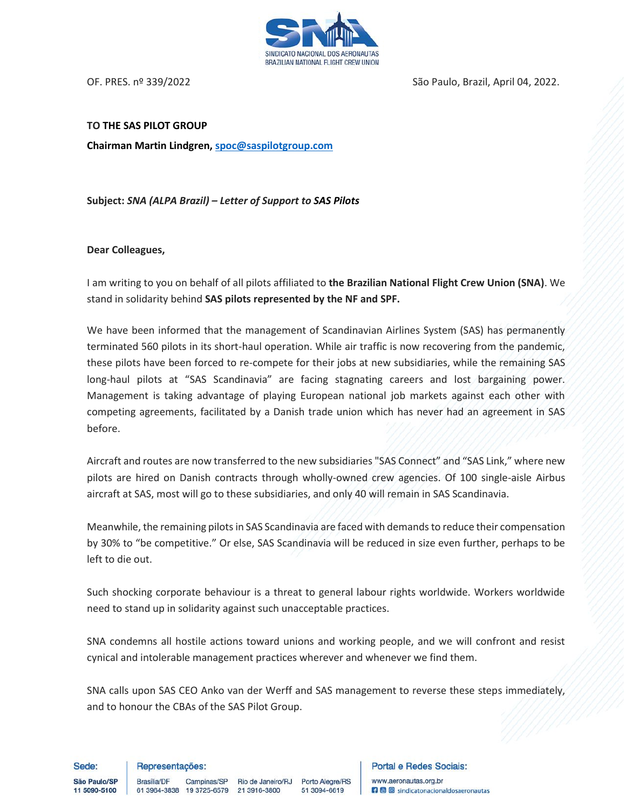

OF. PRES. nº 339/2022 CORTEGIA E SÃO PAULO, Brazil, April 04, 2022.

## **TO THE SAS PILOT GROUP**

**Chairman Martin Lindgren[, spoc@saspilotgroup.com](mailto:spoc@saspilotgroup.com)**

**Subject:** *SNA (ALPA Brazil) – Letter of Support to SAS Pilots*

## **Dear Colleagues,**

I am writing to you on behalf of all pilots affiliated to **the Brazilian National Flight Crew Union (SNA)**. We stand in solidarity behind **SAS pilots represented by the NF and SPF.**

We have been informed that the management of Scandinavian Airlines System (SAS) has permanently terminated 560 pilots in its short-haul operation. While air traffic is now recovering from the pandemic, these pilots have been forced to re-compete for their jobs at new subsidiaries, while the remaining SAS long-haul pilots at "SAS Scandinavia" are facing stagnating careers and lost bargaining power. Management is taking advantage of playing European national job markets against each other with competing agreements, facilitated by a Danish trade union which has never had an agreement in SAS before.

Aircraft and routes are now transferred to the new subsidiaries "SAS Connect" and "SAS Link," where new pilots are hired on Danish contracts through wholly-owned crew agencies. Of 100 single-aisle Airbus aircraft at SAS, most will go to these subsidiaries, and only 40 will remain in SAS Scandinavia.

Meanwhile, the remaining pilots in SAS Scandinavia are faced with demands to reduce their compensation by 30% to "be competitive." Or else, SAS Scandinavia will be reduced in size even further, perhaps to be left to die out.

Such shocking corporate behaviour is a threat to general labour rights worldwide. Workers worldwide need to stand up in solidarity against such unacceptable practices.

SNA condemns all hostile actions toward unions and working people, and we will confront and resist cynical and intolerable management practices wherever and whenever we find them.

SNA calls upon SAS CEO Anko van der Werff and SAS management to reverse these steps immediately, and to honour the CBAs of the SAS Pilot Group.

Sede:

Representações:

Brasília/DF

São Paulo/SP 11 5090-5100

Campinas/SP Rio de Janeiro/RJ Porto Alegre/RS 61 3964-3838 19 3725-6579 21 3916-3800

51 3094-6619

**Portal e Redes Sociais:** www.aeronautas.org.br **n** © sindicatonacionaldosaeronautas